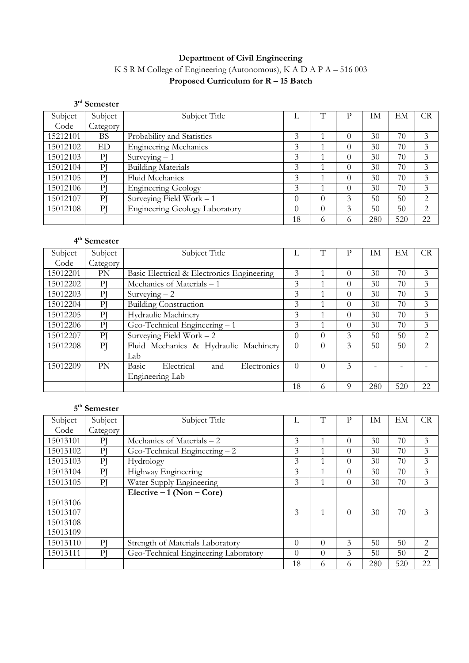# **Department of Civil Engineering** K S R M College of Engineering (Autonomous), K A D A P A – 516 003 **Proposed Curriculum for R – 15 Batch**

|          | $3rd$ Semester      |                                       |          |   |   |           |     |                |
|----------|---------------------|---------------------------------------|----------|---|---|-----------|-----|----------------|
| Subject  | Subject             | Subject Title                         |          |   | P | <b>IM</b> | EМ  | <b>CR</b>      |
| Code     | Category            |                                       |          |   |   |           |     |                |
| 15212101 | BS                  | Probability and Statistics            | 3        |   | 0 | 30        | 70  | 3              |
| 15012102 | ED.                 | <b>Engineering Mechanics</b>          | 3        |   | 0 | 30        | 70  | 3              |
| 15012103 | $\overline{\rm Pl}$ | Surveying $-1$                        | 3        |   | 0 | 30        | 70  | 3              |
| 15012104 | PI                  | <b>Building Materials</b>             | 3        |   | 0 | 30        | 70  | 3              |
| 15012105 | Pl                  | Fluid Mechanics                       | 3        |   | 0 | 30        | 70  | 3              |
| 15012106 | Pl                  | <b>Engineering Geology</b>            | 3        |   | 0 | 30        | 70  | 3              |
| 15012107 | Pl                  | Surveying Field Work $-1$             | $\Omega$ | 0 | 3 | 50        | 50  | 2              |
| 15012108 | Pl                  | <b>Engineering Geology Laboratory</b> | $\Omega$ | 0 | 3 | 50        | 50  | $\overline{2}$ |
|          |                     |                                       | 18       | 0 | 6 | 280       | 520 | 22             |

#### **4th Semester** Subject Code<br>15012201 Subject Category<br>PN Subject Title  $L \mid T \mid P \mid IM \mid EM \mid CR$ 15012201 PN Basic Electrical & Electronics Engineering 3 1 0 30 70 3<br>15012202 PJ Mechanics of Materials - 1 3 1 0 30 70 3 1 1 0 30 70 3<br>
1 2 1 0 30 70 3<br>
1 0 30 70 3<br>
1 0 30 70 3 15012203 PJ Surveying – 2 3 1 0 30 70 3<br>15012204 PJ Building Construction 3 1 0 30 70 3 15012204 PJ Building Construction 3 1 0 30 70 3<br>15012205 PJ Hydraulic Machinery 3 1 0 30 70 3 15012205 PJ Hydraulic Machinery 3 1 0 30 70 3<br>15012206 PJ Geo-Technical Engineering – 1 3 1 0 30 70 3 15012206 PJ Geo-Technical Engineering – 1 3 1 0 30 70 3<br>15012207 PJ Surveying Field Work – 2 0 0 3 50 50 2 15012207 PJ Surveying Field Work – 2 0 0 3 50 50 2<br>15012208 PJ Fluid Mechanics & Hydraulic Machinery 0 0 3 50 50 2 Fluid Mechanics & Hydraulic Machinery Lab<br>Basic  $0 \mid 0 \mid 3 \mid 50 \mid 50 \mid 2$ 15012209 PN Basic Electrical and Electronics Engineering Lab  $0 \mid 0 \mid 3 \mid - \mid - \mid - \mid$ 18 6 9 280 520 22

# **5th Semester**

| Subject  | Subject             | Subject Title                        |          | T        | P        | ΙM  | EM  | CR             |
|----------|---------------------|--------------------------------------|----------|----------|----------|-----|-----|----------------|
| Code     | Category            |                                      |          |          |          |     |     |                |
| 15013101 | ΡJ                  | Mechanics of Materials - 2           | 3        |          | $\Omega$ | 30  | 70  | 3              |
| 15013102 | $\overline{P}$      | Geo-Technical Engineering - 2        | 3        |          | $\Omega$ | 30  | 70  | 3              |
| 15013103 | P                   | Hydrology                            | 3        |          | $\Omega$ | 30  | 70  | 3              |
| 15013104 | P                   | Highway Engineering                  | 3        |          | $\Omega$ | 30  | 70  | 3              |
| 15013105 | P                   | Water Supply Engineering             | 3        |          | $\Omega$ | 30  | 70  | 3              |
|          |                     | Elective $-1$ (Non $-$ Core)         |          |          |          |     |     |                |
| 15013106 |                     |                                      |          |          |          |     |     |                |
| 15013107 |                     |                                      | 3        |          | $\Omega$ | 30  | 70  | 3              |
| 15013108 |                     |                                      |          |          |          |     |     |                |
| 15013109 |                     |                                      |          |          |          |     |     |                |
| 15013110 | $\overline{\rm Pl}$ | Strength of Materials Laboratory     | $\Omega$ | $\Omega$ | 3        | 50  | 50  | $\overline{2}$ |
| 15013111 | $\overline{P}$      | Geo-Technical Engineering Laboratory | $\Omega$ | $\Omega$ | 3        | 50  | 50  | 2              |
|          |                     |                                      | 18       | 6        | 6        | 280 | 520 | 22             |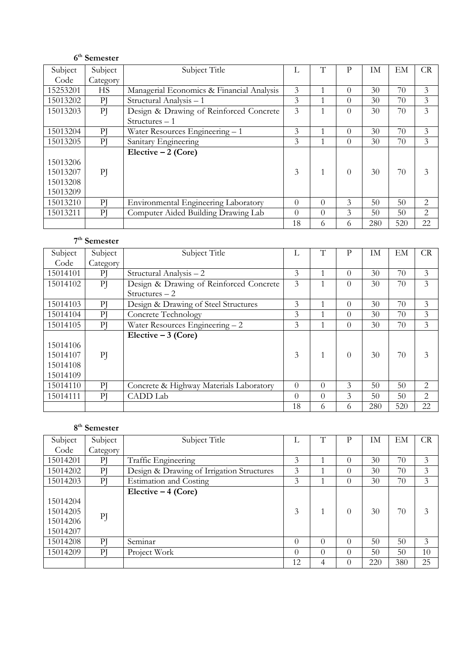# **6th Semester**

| Subject  | Subject   | Subject Title                             |          | T        | P        | <b>IM</b> | EM  | <b>CR</b>      |
|----------|-----------|-------------------------------------------|----------|----------|----------|-----------|-----|----------------|
| Code     | Category  |                                           |          |          |          |           |     |                |
| 15253201 | <b>HS</b> | Managerial Economics & Financial Analysis | 3        |          | $\Omega$ | 30        | 70  | 3              |
| 15013202 | PI        | Structural Analysis - 1                   | 3        |          | $\Omega$ | 30        | 70  | 3              |
| 15013203 | PI        | Design & Drawing of Reinforced Concrete   | 3        |          | $\theta$ | 30        | 70  | 3              |
|          |           | $Structures - 1$                          |          |          |          |           |     |                |
| 15013204 | PI        | Water Resources Engineering - 1           | 3        |          | $\Omega$ | 30        | 70  | 3              |
| 15013205 | PI        | Sanitary Engineering                      | 3        |          | $\Omega$ | 30        | 70  | 3              |
|          |           | Elective $-2$ (Core)                      |          |          |          |           |     |                |
| 15013206 |           |                                           |          |          |          |           |     |                |
| 15013207 | PI        |                                           | 3        |          | $\Omega$ | 30        | 70  | 3              |
| 15013208 |           |                                           |          |          |          |           |     |                |
| 15013209 |           |                                           |          |          |          |           |     |                |
| 15013210 | PI        | Environmental Engineering Laboratory      | $\Omega$ | $\Omega$ | 3        | 50        | 50  | $\overline{2}$ |
| 15013211 | PI        | Computer Aided Building Drawing Lab       | $\Omega$ | $\Omega$ | 3        | 50        | 50  | 2              |
|          |           |                                           | 18       | 6        | 6        | 280       | 520 | 22             |

# **7th Semester**

| Subject  | Subject  | Subject Title                           | L        | T        | P        | ĪМ  | EM  | <b>CR</b>      |
|----------|----------|-----------------------------------------|----------|----------|----------|-----|-----|----------------|
| Code     | Category |                                         |          |          |          |     |     |                |
| 15014101 | $\rm P$  | Structural Analysis - 2                 | 3        |          | $\Omega$ | 30  | 70  | 3              |
| 15014102 | PI       | Design & Drawing of Reinforced Concrete | 3        |          | $\Omega$ | 30  | 70  | 3              |
|          |          | $Structures - 2$                        |          |          |          |     |     |                |
| 15014103 | $\rm P$  | Design & Drawing of Steel Structures    | 3        |          | $\Omega$ | 30  | 70  | 3              |
| 15014104 | P        | Concrete Technology                     | 3        |          | $\Omega$ | 30  | 70  | 3              |
| 15014105 | P        | Water Resources Engineering $-2$        | 3        |          | $\Omega$ | 30  | 70  | 3              |
|          |          | Elective $-3$ (Core)                    |          |          |          |     |     |                |
| 15014106 |          |                                         |          |          |          |     |     |                |
| 15014107 | PI       |                                         | 3        |          | $\Omega$ | 30  | 70  | 3              |
| 15014108 |          |                                         |          |          |          |     |     |                |
| 15014109 |          |                                         |          |          |          |     |     |                |
| 15014110 | P        | Concrete & Highway Materials Laboratory | $\Omega$ | $\Omega$ | 3        | 50  | 50  | 2              |
| 15014111 | P        | CADD Lab                                | $\Omega$ | $\Omega$ | 3        | 50  | 50  | $\overline{2}$ |
|          |          |                                         | 18       | 6        | 6        | 280 | 520 | 22             |

# **8th Semester**

| Subject                                      | Subject  | Subject Title                             | Ι,       | Т        | P        | ĪМ  | EM  | CR             |
|----------------------------------------------|----------|-------------------------------------------|----------|----------|----------|-----|-----|----------------|
| Code                                         | Category |                                           |          |          |          |     |     |                |
| 15014201                                     | $\rm P$  | Traffic Engineering                       | 3        |          | $\Omega$ | 30  | 70  | $\mathfrak{Z}$ |
| 15014202                                     | PI       | Design & Drawing of Irrigation Structures | 3        |          | $\theta$ | 30  | 70  | 3              |
| 15014203                                     | P        | <b>Estimation and Costing</b>             | 3        |          | $\theta$ | 30  | 70  | $\mathfrak{Z}$ |
| 15014204<br>15014205<br>15014206<br>15014207 | PI       | Elective $-4$ (Core)                      | 3        |          | $\Omega$ | 30  | 70  | 3              |
| 15014208                                     | P        | Seminar                                   | $\Omega$ | $\Omega$ | $\Omega$ | 50  | 50  | 3              |
| 15014209                                     | P        | Project Work                              | $\Omega$ | $\Omega$ | $\Omega$ | 50  | 50  | 10             |
|                                              |          |                                           | 12       | 4        | $\Omega$ | 220 | 380 | 25             |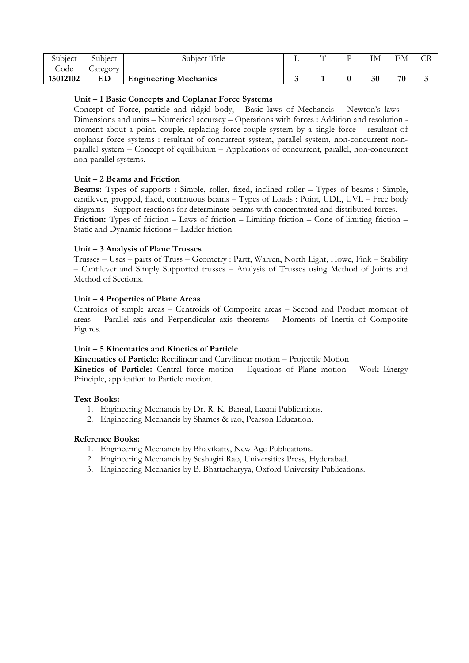| Subject    | Subject            | Title<br>subiect             | $\sqrt{ }$ | TX.<br>IМ | <b>TIM</b><br>EМ | $\sim$ T<br>$\sim$ |
|------------|--------------------|------------------------------|------------|-----------|------------------|--------------------|
| $\cup$ ode | $\sim$<br>_ategory |                              |            |           |                  |                    |
| 15012102   | ED                 | <b>Engineering Mechanics</b> |            | 30        | 70               |                    |

#### **Unit – 1 Basic Concepts and Coplanar Force Systems**

Concept of Force, particle and ridgid body, - Basic laws of Mechancis – Newton's laws – Dimensions and units – Numerical accuracy – Operations with forces : Addition and resolution moment about a point, couple, replacing force-couple system by a single force – resultant of coplanar force systems : resultant of concurrent system, parallel system, non-concurrent nonparallel system – Concept of equilibrium – Applications of concurrent, parallel, non-concurrent non-parallel systems.

# **Unit – 2 Beams and Friction**

**Beams:** Types of supports : Simple, roller, fixed, inclined roller – Types of beams : Simple, cantilever, propped, fixed, continuous beams – Types of Loads : Point, UDL, UVL – Free body diagrams – Support reactions for determinate beams with concentrated and distributed forces. **Friction:** Types of friction – Laws of friction – Limiting friction – Cone of limiting friction – Static and Dynamic frictions – Ladder friction.

# **Unit – 3 Analysis of Plane Trusses**

Trusses – Uses – parts of Truss – Geometry : Partt, Warren, North Light, Howe, Fink – Stability – Cantilever and Simply Supported trusses – Analysis of Trusses using Method of Joints and Method of Sections.

# **Unit – 4 Properties of Plane Areas**

Centroids of simple areas – Centroids of Composite areas – Second and Product moment of areas – Parallel axis and Perpendicular axis theorems – Moments of Inertia of Composite Figures.

#### **Unit – 5 Kinematics and Kinetics of Particle**

**Kinematics of Particle:** Rectilinear and Curvilinear motion – Projectile Motion

**Kinetics of Particle:** Central force motion – Equations of Plane motion – Work Energy Principle, application to Particle motion.

# **Text Books:**

- 1. Engineering Mechancis by Dr. R. K. Bansal, Laxmi Publications.
- 2. Engineering Mechancis by Shames & rao, Pearson Education.

- 1. Engineering Mechancis by Bhavikatty, New Age Publications.
- 2. Engineering Mechancis by Seshagiri Rao, Universities Press, Hyderabad.
- 3. Engineering Mechanics by B. Bhattacharyya, Oxford University Publications.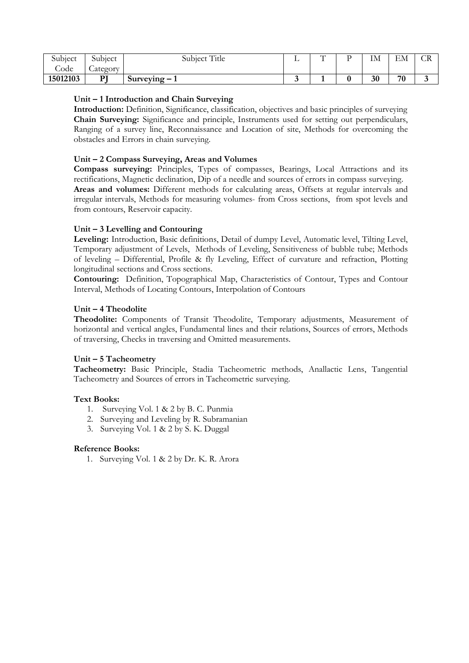| Subject    | $\cap$ 1 $\cdot$<br>Subject | Title<br>$\sim$ 1.<br>Subject | - | $\mathbf{H}$ | TX.<br>IМ | <b>TA</b><br>EМ | $\sim$<br>$\sim$ |
|------------|-----------------------------|-------------------------------|---|--------------|-----------|-----------------|------------------|
| $\cup$ ode | $\sim$<br><i>_ategory</i>   |                               |   |              |           |                 |                  |
| 15012103   | DТ<br>-                     | $Surveving - 1$               |   |              | 30        | 70              |                  |

#### **Unit – 1 Introduction and Chain Surveying**

**Introduction:** Definition, Significance, classification, objectives and basic principles of surveying **Chain Surveying:** Significance and principle, Instruments used for setting out perpendiculars, Ranging of a survey line, Reconnaissance and Location of site, Methods for overcoming the obstacles and Errors in chain surveying.

#### **Unit – 2 Compass Surveying, Areas and Volumes**

**Compass surveying:** Principles, Types of compasses, Bearings, Local Attractions and its rectifications, Magnetic declination, Dip of a needle and sources of errors in compass surveying. **Areas and volumes:** Different methods for calculating areas, Offsets at regular intervals and irregular intervals, Methods for measuring volumes- from Cross sections, from spot levels and from contours, Reservoir capacity.

#### **Unit – 3 Levelling and Contouring**

**Leveling:** Introduction, Basic definitions, Detail of dumpy Level, Automatic level, Tilting Level, Temporary adjustment of Levels, Methods of Leveling, Sensitiveness of bubble tube; Methods of leveling – Differential, Profile & fly Leveling, Effect of curvature and refraction, Plotting longitudinal sections and Cross sections.

**Contouring:** Definition, Topographical Map, Characteristics of Contour, Types and Contour Interval, Methods of Locating Contours, Interpolation of Contours

#### **Unit – 4 Theodolite**

**Theodolite:** Components of Transit Theodolite, Temporary adjustments, Measurement of horizontal and vertical angles, Fundamental lines and their relations, Sources of errors, Methods of traversing, Checks in traversing and Omitted measurements.

#### **Unit – 5 Tacheometry**

**Tacheometry:** Basic Principle, Stadia Tacheometric methods, Anallactic Lens, Tangential Tacheometry and Sources of errors in Tacheometric surveying.

#### **Text Books:**

- 1. Surveying Vol. 1 & 2 by B. C. Punmia
- 2. Surveying and Leveling by R. Subramanian
- 3. Surveying Vol. 1 & 2 by S. K. Duggal

#### **Reference Books:**

1. Surveying Vol. 1 & 2 by Dr. K. R. Arora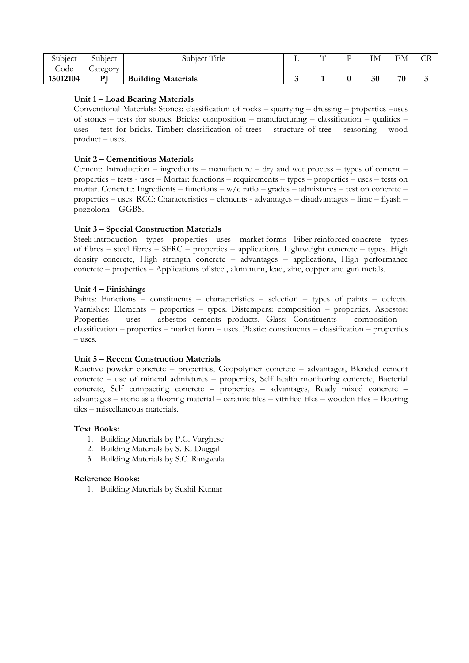| Subject  | Subiect         | Title<br>Subject          | $\sqrt{ }$ | IM | $\Gamma\Lambda$<br>EМ | w |
|----------|-----------------|---------------------------|------------|----|-----------------------|---|
| Jode     | <i>_ategory</i> |                           |            |    |                       |   |
| 15012104 | DI              | <b>Building Materials</b> |            | 30 | 70                    |   |

#### **Unit 1 – Load Bearing Materials**

Conventional Materials: Stones: classification of rocks – quarrying – dressing – properties –uses of stones – tests for stones. Bricks: composition – manufacturing – classification – qualities – uses – test for bricks. Timber: classification of trees – structure of tree – seasoning – wood product – uses.

#### **Unit 2 – Cementitious Materials**

Cement: Introduction – ingredients – manufacture – dry and wet process – types of cement – properties – tests - uses – Mortar: functions – requirements – types – properties – uses – tests on mortar. Concrete: Ingredients – functions –  $w/c$  ratio – grades – admixtures – test on concrete – properties – uses. RCC: Characteristics – elements - advantages – disadvantages – lime – flyash – pozzolona – GGBS.

#### **Unit 3 – Special Construction Materials**

Steel: introduction – types – properties – uses – market forms - Fiber reinforced concrete – types of fibres – steel fibres – SFRC – properties – applications. Lightweight concrete – types. High density concrete, High strength concrete – advantages – applications, High performance concrete – properties – Applications of steel, aluminum, lead, zinc, copper and gun metals.

#### **Unit 4 – Finishings**

Paints: Functions – constituents – characteristics – selection – types of paints – defects. Varnishes: Elements – properties – types. Distempers: composition – properties. Asbestos: Properties – uses – asbestos cements products. Glass: Constituents – composition – classification – properties – market form – uses. Plastic: constituents – classification – properties – uses.

#### **Unit 5 – Recent Construction Materials**

Reactive powder concrete – properties, Geopolymer concrete – advantages, Blended cement concrete – use of mineral admixtures – properties, Self health monitoring concrete, Bacterial concrete, Self compacting concrete – properties – advantages, Ready mixed concrete – advantages – stone as a flooring material – ceramic tiles – vitrified tiles – wooden tiles – flooring tiles – miscellaneous materials.

#### **Text Books:**

- 1. Building Materials by P.C. Varghese
- 2. Building Materials by S. K. Duggal
- 3. Building Materials by S.C. Rangwala

#### **Reference Books:**

1. Building Materials by Sushil Kumar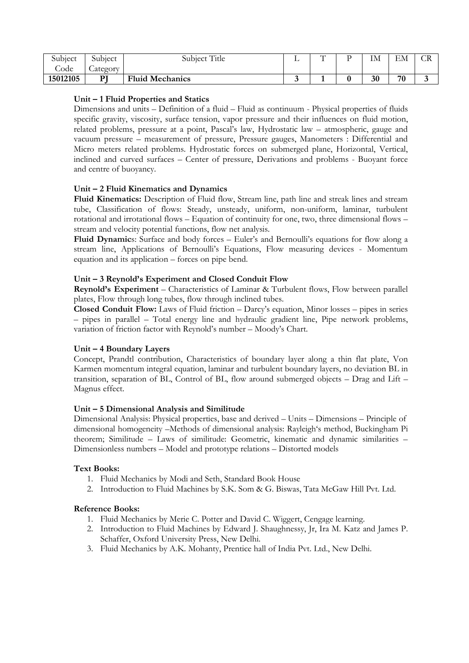| Subject  | Subject            | Title<br>Subiect       | $\sqrt{ }$ | $\overline{\phantom{a}}$ | TX.<br>ıм | ЕN<br>ЕM | $\sim$ T<br>$\sim$ |
|----------|--------------------|------------------------|------------|--------------------------|-----------|----------|--------------------|
| Code     | $\sim$<br>_ategory |                        |            |                          |           |          |                    |
| 15012105 | DТ                 | <b>Fluid Mechanics</b> |            |                          | 30        | 70       | $\sim$             |

#### **Unit – 1 Fluid Properties and Statics**

Dimensions and units – Definition of a fluid – Fluid as continuum - Physical properties of fluids specific gravity, viscosity, surface tension, vapor pressure and their influences on fluid motion, related problems, pressure at a point, Pascal's law, Hydrostatic law – atmospheric, gauge and vacuum pressure – measurement of pressure, Pressure gauges, Manometers : Differential and Micro meters related problems. Hydrostatic forces on submerged plane, Horizontal, Vertical, inclined and curved surfaces – Center of pressure, Derivations and problems - Buoyant force and centre of buoyancy.

# **Unit – 2 Fluid Kinematics and Dynamics**

**Fluid Kinematics:** Description of Fluid flow, Stream line, path line and streak lines and stream tube, Classification of flows: Steady, unsteady, uniform, non-uniform, laminar, turbulent rotational and irrotational flows – Equation of continuity for one, two, three dimensional flows – stream and velocity potential functions, flow net analysis.

**Fluid Dynamic**s: Surface and body forces – Euler's and Bernoulli's equations for flow along a stream line, Applications of Bernoulli's Equations, Flow measuring devices - Momentum equation and its application – forces on pipe bend.

# **Unit – 3 Reynold's Experiment and Closed Conduit Flow**

**Reynold's Experiment** – Characteristics of Laminar & Turbulent flows, Flow between parallel plates, Flow through long tubes, flow through inclined tubes.

**Closed Conduit Flow:** Laws of Fluid friction – Darcy's equation, Minor losses – pipes in series – pipes in parallel – Total energy line and hydraulic gradient line, Pipe network problems, variation of friction factor with Reynold's number – Moody's Chart.

#### **Unit – 4 Boundary Layers**

Concept, Prandtl contribution, Characteristics of boundary layer along a thin flat plate, Von Karmen momentum integral equation, laminar and turbulent boundary layers, no deviation BL in transition, separation of BL, Control of BL, flow around submerged objects – Drag and Lift – Magnus effect.

#### **Unit – 5 Dimensional Analysis and Similitude**

Dimensional Analysis: Physical properties, base and derived – Units – Dimensions – Principle of dimensional homogeneity –Methods of dimensional analysis: Rayleigh's method, Buckingham Pi theorem; Similitude – Laws of similitude: Geometric, kinematic and dynamic similarities – Dimensionless numbers – Model and prototype relations – Distorted models

#### **Text Books:**

- 1. Fluid Mechanics by Modi and Seth, Standard Book House
- 2. Introduction to Fluid Machines by S.K. Som & G. Biswas, Tata McGaw Hill Pvt. Ltd.

- 1. Fluid Mechanics by Merie C. Potter and David C. Wiggert, Cengage learning.
- 2. Introduction to Fluid Machines by Edward J. Shaughnessy, Jr, Ira M. Katz and James P. Schaffer, Oxford University Press, New Delhi.
- 3. Fluid Mechanics by A.K. Mohanty, Prentice hall of India Pvt. Ltd., New Delhi.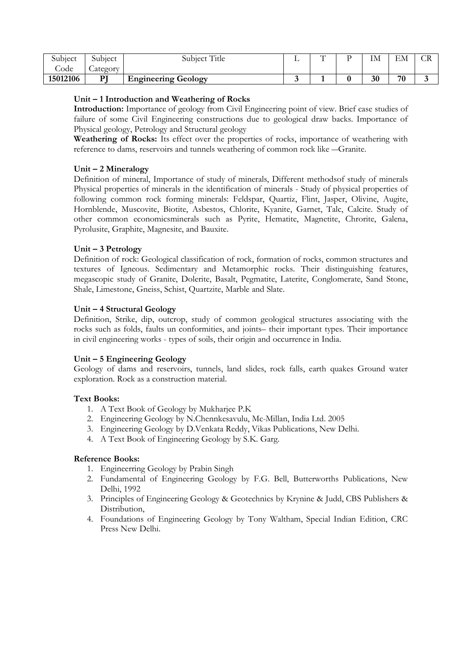| Subject    | Subject            | <b>HT'</b> .1<br>-Title<br>Subject | $\overline{ }$ | TX.<br>ıм | <b>134</b><br>ЕM | $\sim$ T<br>w |
|------------|--------------------|------------------------------------|----------------|-----------|------------------|---------------|
| $\cup$ ode | $\sim$<br>_ategory |                                    |                |           |                  |               |
| 15012106   | DI                 | <b>Engineering Geology</b><br>э.   |                | 30        | 70               |               |

#### **Unit – 1 Introduction and Weathering of Rocks**

**Introduction:** Importance of geology from Civil Engineering point of view. Brief case studies of failure of some Civil Engineering constructions due to geological draw backs. Importance of Physical geology, Petrology and Structural geology

**Weathering of Rocks:** Its effect over the properties of rocks, importance of weathering with reference to dams, reservoirs and tunnels weathering of common rock like ―Granite.

# **Unit – 2 Mineralogy**

Definition of mineral, Importance of study of minerals, Different methodsof study of minerals Physical properties of minerals in the identification of minerals - Study of physical properties of following common rock forming minerals: Feldspar, Quartiz, Flint, Jasper, Olivine, Augite, Hornblende, Muscovite, Biotite, Asbestos, Chlorite, Kyanite, Garnet, Talc, Calcite. Study of other common economicsminerals such as Pyrite, Hematite, Magnetite, Chrorite, Galena, Pyrolusite, Graphite, Magnesite, and Bauxite.

# **Unit – 3 Petrology**

Definition of rock: Geological classification of rock, formation of rocks, common structures and textures of Igneous. Sedimentary and Metamorphic rocks. Their distinguishing features, megascopic study of Granite, Dolerite, Basalt, Pegmatite, Laterite, Conglomerate, Sand Stone, Shale, Limestone, Gneiss, Schist, Quartzite, Marble and Slate.

# **Unit – 4 Structural Geology**

Definition, Strike, dip, outcrop, study of common geological structures associating with the rocks such as folds, faults un conformities, and joints– their important types. Their importance in civil engineering works - types of soils, their origin and occurrence in India.

#### **Unit – 5 Engineering Geology**

Geology of dams and reservoirs, tunnels, land slides, rock falls, earth quakes Ground water exploration. Rock as a construction material.

# **Text Books:**

- 1. A Text Book of Geology by Mukharjee P.K
- 2. Engineering Geology by N.Chennkesavulu, Mc-Millan, India Ltd. 2005
- 3. Engineering Geology by D.Venkata Reddy, Vikas Publications, New Delhi.
- 4. A Text Book of Engineering Geology by S.K. Garg.

- 1. Engineerring Geology by Prabin Singh
- 2. Fundamental of Engineering Geology by F.G. Bell, Butterworths Publications, New Delhi, 1992
- 3. Principles of Engineering Geology & Geotechnics by Krynine & Judd, CBS Publishers & Distribution,
- 4. Foundations of Engineering Geology by Tony Waltham, Special Indian Edition, CRC Press New Delhi.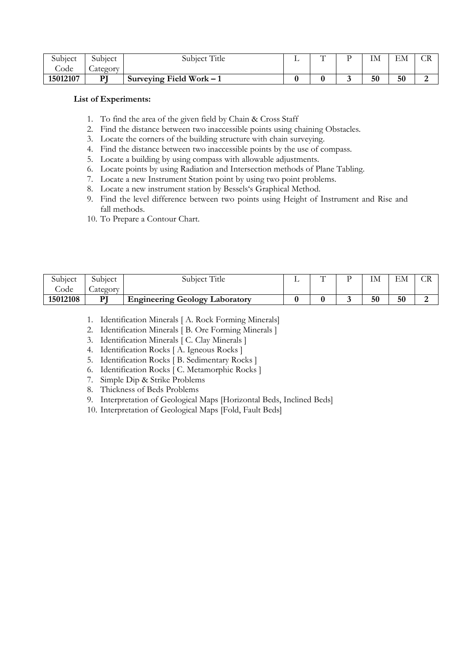| Subject  | Subject       | <b>HT'</b> .1<br>Subject Title | $\mathbf{H}$ | TX.<br>ıм | <b>134</b><br>ЕM | w |
|----------|---------------|--------------------------------|--------------|-----------|------------------|---|
| Jode     | ∽<br>_ategory |                                |              |           |                  |   |
| 15012107 | DТ<br>--      | Surveying Field Work $-1$      |              | 50        | 50               |   |

#### **List of Experiments:**

- 1. To find the area of the given field by Chain & Cross Staff
- 2. Find the distance between two inaccessible points using chaining Obstacles.
- 3. Locate the corners of the building structure with chain surveying.
- 4. Find the distance between two inaccessible points by the use of compass.
- 5. Locate a building by using compass with allowable adjustments.
- 6. Locate points by using Radiation and Intersection methods of Plane Tabling.
- 7. Locate a new Instrument Station point by using two point problems.
- 8. Locate a new instrument station by Bessels's Graphical Method.
- 9. Find the level difference between two points using Height of Instrument and Rise and fall methods.
- 10. To Prepare a Contour Chart.

| Subiect  | Subiect            | Subject Title                         | $\sqrt{ }$ | ΙM | EМ |  |
|----------|--------------------|---------------------------------------|------------|----|----|--|
| Code     | $\sim$<br>_ategory |                                       |            |    |    |  |
| 15012108 | DІ                 | <b>Engineering Geology Laboratory</b> |            | 50 | 50 |  |

- 1. Identification Minerals [ A. Rock Forming Minerals]
- 2. Identification Minerals [ B. Ore Forming Minerals ]
- 3. Identification Minerals [ C. Clay Minerals ]
- 4. Identification Rocks [ A. Igneous Rocks ]
- 5. Identification Rocks [ B. Sedimentary Rocks ]
- 6. Identification Rocks [ C. Metamorphic Rocks ]
- 7. Simple Dip & Strike Problems
- 8. Thickness of Beds Problems
- 9. Interpretation of Geological Maps [Horizontal Beds, Inclined Beds]

10. Interpretation of Geological Maps [Fold, Fault Beds]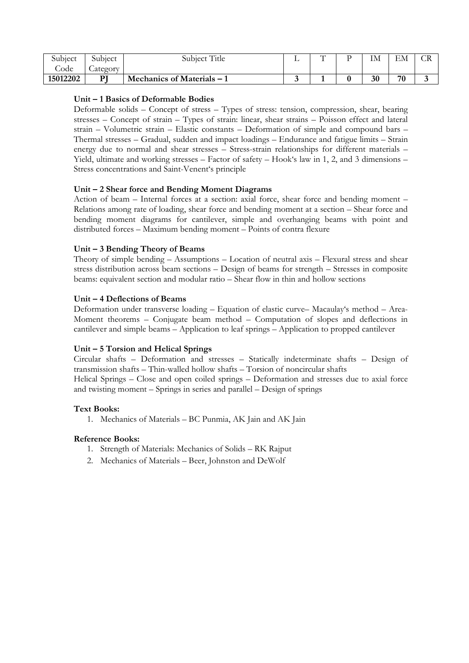| Subject  | Subject  | Subject Title            | ∸ | $\sqrt{ }$ | тъ<br>⊥⊥∀⊥ | ЕN<br>ЕM | ◡▴◟ |
|----------|----------|--------------------------|---|------------|------------|----------|-----|
| Code     | _ategory |                          |   |            |            |          |     |
| 15012202 | וס       | Mechanics of Materials – |   |            | 30         | 70       | ◡   |

#### **Unit – 1 Basics of Deformable Bodies**

Deformable solids – Concept of stress – Types of stress: tension, compression, shear, bearing stresses – Concept of strain – Types of strain: linear, shear strains – Poisson effect and lateral strain – Volumetric strain – Elastic constants – Deformation of simple and compound bars – Thermal stresses – Gradual, sudden and impact loadings – Endurance and fatigue limits – Strain energy due to normal and shear stresses – Stress-strain relationships for different materials – Yield, ultimate and working stresses – Factor of safety – Hook's law in 1, 2, and 3 dimensions – Stress concentrations and Saint-Venent's principle

# **Unit – 2 Shear force and Bending Moment Diagrams**

Action of beam – Internal forces at a section: axial force, shear force and bending moment – Relations among rate of loading, shear force and bending moment at a section – Shear force and bending moment diagrams for cantilever, simple and overhanging beams with point and distributed forces – Maximum bending moment – Points of contra flexure

# **Unit – 3 Bending Theory of Beams**

Theory of simple bending – Assumptions – Location of neutral axis – Flexural stress and shear stress distribution across beam sections – Design of beams for strength – Stresses in composite beams: equivalent section and modular ratio – Shear flow in thin and hollow sections

# **Unit – 4 Deflections of Beams**

Deformation under transverse loading – Equation of elastic curve– Macaulay's method – Area-Moment theorems – Conjugate beam method – Computation of slopes and deflections in cantilever and simple beams – Application to leaf springs – Application to propped cantilever

# **Unit – 5 Torsion and Helical Springs**

Circular shafts – Deformation and stresses – Statically indeterminate shafts – Design of transmission shafts – Thin-walled hollow shafts – Torsion of noncircular shafts Helical Springs – Close and open coiled springs – Deformation and stresses due to axial force and twisting moment – Springs in series and parallel – Design of springs

#### **Text Books:**

1. Mechanics of Materials – BC Punmia, AK Jain and AK Jain

- 1. Strength of Materials: Mechanics of Solids RK Rajput
- 2. Mechanics of Materials Beer, Johnston and DeWolf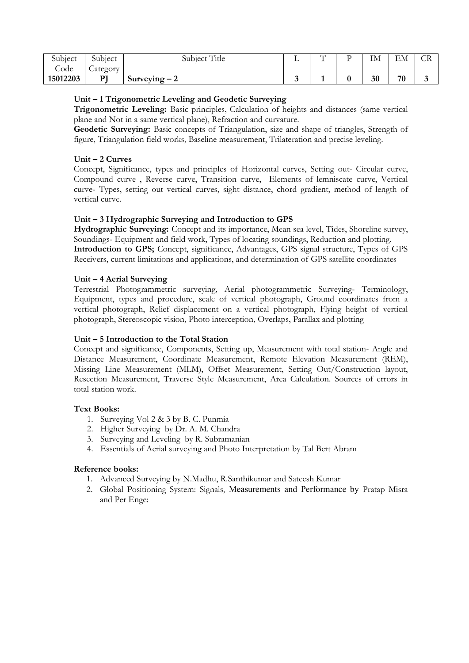| Subject  | $\cap$ 1 $\cdot$<br>Subject | $FT^*$ . 1<br>$\cap$ 1 $\cdot$<br>' Title<br>Subject | - 11 | $\sqrt{ }$ | <b>TA</b><br>ПM | $\blacksquare$<br>⊢.<br>ЕM | $\cap$<br>$\sim$ |
|----------|-----------------------------|------------------------------------------------------|------|------------|-----------------|----------------------------|------------------|
| Code     | $\sim$<br><i>_ategory</i>   |                                                      |      |            |                 |                            |                  |
| 15012203 | DТ                          | $\sqrt{2}$<br>$Surveving - 2$                        |      |            | 30              | 70                         | ۰.               |

#### **Unit – 1 Trigonometric Leveling and Geodetic Surveying**

**Trigonometric Leveling:** Basic principles, Calculation of heights and distances (same vertical plane and Not in a same vertical plane), Refraction and curvature.

**Geodetic Surveying:** Basic concepts of Triangulation, size and shape of triangles, Strength of figure, Triangulation field works, Baseline measurement, Trilateration and precise leveling.

#### **Unit – 2 Curves**

Concept, Significance, types and principles of Horizontal curves, Setting out- Circular curve, Compound curve , Reverse curve, Transition curve, Elements of lemniscate curve, Vertical curve- Types, setting out vertical curves, sight distance, chord gradient, method of length of vertical curve.

# **Unit – 3 Hydrographic Surveying and Introduction to GPS**

**Hydrographic Surveying:** Concept and its importance, Mean sea level, Tides, Shoreline survey, Soundings- Equipment and field work, Types of locating soundings, Reduction and plotting. **Introduction to GPS;** Concept, significance, Advantages, GPS signal structure, Types of GPS Receivers, current limitations and applications, and determination of GPS satellite coordinates

#### **Unit – 4 Aerial Surveying**

Terrestrial Photogrammetric surveying, Aerial photogrammetric Surveying- Terminology, Equipment, types and procedure, scale of vertical photograph, Ground coordinates from a vertical photograph, Relief displacement on a vertical photograph, Flying height of vertical photograph, Stereoscopic vision, Photo interception, Overlaps, Parallax and plotting

#### **Unit – 5 Introduction to the Total Station**

Concept and significance, Components, Setting up, Measurement with total station- Angle and Distance Measurement, Coordinate Measurement, Remote Elevation Measurement (REM), Missing Line Measurement (MLM), Offset Measurement, Setting Out/Construction layout, Resection Measurement, Traverse Style Measurement, Area Calculation. Sources of errors in total station work.

#### **Text Books:**

- 1. Surveying Vol 2 & 3 by B. C. Punmia
- 2. Higher Surveying by Dr. A. M. Chandra
- 3. Surveying and Leveling by R. Subramanian
- 4. Essentials of Aerial surveying and Photo Interpretation by Tal Bert Abram

- 1. Advanced Surveying by N.Madhu, R.Santhikumar and Sateesh Kumar
- 2. Global Positioning System: Signals, Measurements and Performance by Pratap Misra and Per Enge: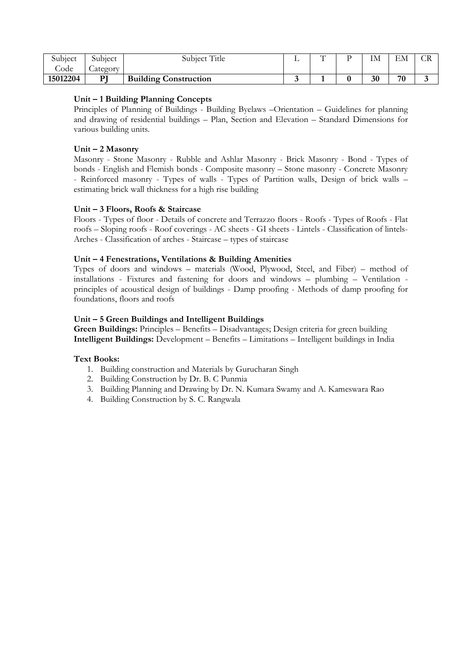| $\cap$ 1 $\cdot$<br>Subject | Subiect       | Subject Title                | -- | , , , | IM | EM | $\sim$ |
|-----------------------------|---------------|------------------------------|----|-------|----|----|--------|
| Code                        | -<br>_ategory |                              |    |       |    |    |        |
| 15012204                    | DI<br>-       | <b>Building Construction</b> |    |       | 30 | 70 |        |

#### **Unit – 1 Building Planning Concepts**

Principles of Planning of Buildings - Building Byelaws –Orientation – Guidelines for planning and drawing of residential buildings – Plan, Section and Elevation – Standard Dimensions for various building units.

#### **Unit – 2 Masonry**

Masonry - Stone Masonry - Rubble and Ashlar Masonry - Brick Masonry - Bond - Types of bonds - English and Flemish bonds - Composite masonry – Stone masonry - Concrete Masonry - Reinforced masonry - Types of walls - Types of Partition walls, Design of brick walls – estimating brick wall thickness for a high rise building

#### **Unit – 3 Floors, Roofs & Staircase**

Floors - Types of floor - Details of concrete and Terrazzo floors - Roofs - Types of Roofs - Flat roofs – Sloping roofs - Roof coverings - AC sheets - GI sheets - Lintels - Classification of lintels-Arches - Classification of arches - Staircase – types of staircase

#### **Unit – 4 Fenestrations, Ventilations & Building Amenities**

Types of doors and windows – materials (Wood, Plywood, Steel, and Fiber) – method of installations - Fixtures and fastening for doors and windows – plumbing – Ventilation principles of acoustical design of buildings - Damp proofing - Methods of damp proofing for foundations, floors and roofs

# **Unit – 5 Green Buildings and Intelligent Buildings**

**Green Buildings:** Principles – Benefits – Disadvantages; Design criteria for green building **Intelligent Buildings:** Development – Benefits – Limitations – Intelligent buildings in India

#### **Text Books:**

- 1. Building construction and Materials by Gurucharan Singh
- 2. Building Construction by Dr. B. C Punmia
- 3. Building Planning and Drawing by Dr. N. Kumara Swamy and A. Kameswara Rao
- 4. Building Construction by S. C. Rangwala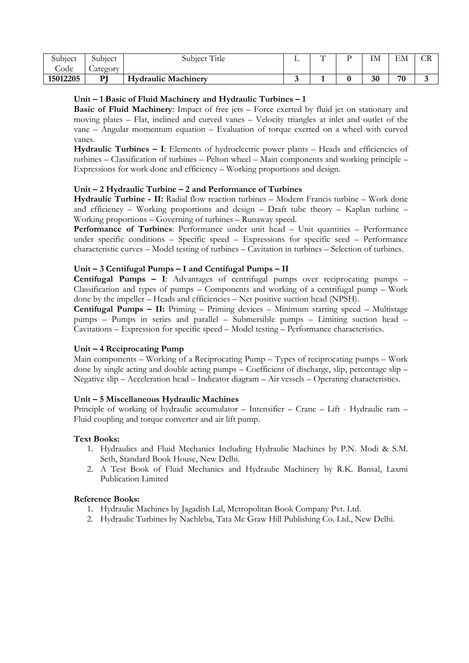| Subject  | Subject  | Subject Title              | $\sqrt{ }$ | TX.<br>ПM | ЕN<br>ЕM | - VIV |
|----------|----------|----------------------------|------------|-----------|----------|-------|
| ode –    | _ategory |                            |            |           |          |       |
| 15012205 |          | <b>Hydraulic Machinery</b> |            | 30        | 70       | ۰.    |

#### **Unit – 1 Basic of Fluid Machinery and Hydraulic Turbines – 1**

**Basic of Fluid Machinery**: Impact of free jets – Force exerted by fluid jet on stationary and moving plates – Flat, inclined and curved vanes – Velocity triangles at inlet and outlet of the vane – Angular momentum equation – Evaluation of torque exerted on a wheel with curved vanes.

**Hydraulic Turbines – I**: Elements of hydroelectric power plants – Heads and efficiencies of turbines – Classification of turbines – Pelton wheel – Main components and working principle – Expressions for work done and efficiency – Working proportions and design.

#### **Unit – 2 Hydraulic Turbine – 2 and Performance of Turbines**

**Hydraulic Turbine - II:** Radial flow reaction turbines – Modern Francis turbine – Work done and efficiency – Working proportions and design – Draft tube theory – Kaplan turbine – Working proportions – Governing of turbines – Runaway speed.

Performance of Turbines: Performance under unit head – Unit quantities – Performance under specific conditions – Specific speed – Expressions for specific seed – Performance characteristic curves – Model testing of turbines – Cavitation in turbines – Selection of turbines.

#### **Unit – 3 Centifugal Pumps – I and Centifugal Pumps – II**

**Centifugal Pumps – I**: Advantages of centrifugal pumps over reciprocating pumps – Classification and types of pumps – Components and working of a centrifugal pump – Work done by the impeller – Heads and efficiencies – Net positive suction head (NPSH).

**Centifugal Pumps – II:** Priming – Priming devices – Minimum starting speed – Multistage pumps – Pumps in series and parallel – Submersible pumps – Limiting suction head – Cavitations – Expression for specific speed – Model testing – Performance characteristics.

#### **Unit – 4 Reciprocating Pump**

Main components – Working of a Reciprocating Pump – Types of reciprocating pumps – Work done by single acting and double acting pumps – Coefficient of discharge, slip, percentage slip – Negative slip – Acceleration head – Indicator diagram – Air vessels – Operating characteristics.

#### **Unit – 5 Miscellaneous Hydraulic Machines**

Principle of working of hydraulic accumulator – Intensifier – Crane – Lift - Hydraulic ram – Fluid coupling and torque converter and air lift pump.

#### **Text Books:**

- 1. Hydraulics and Fluid Mechanics Including Hydraulic Machines by P.N. Modi & S.M. Seth, Standard Book House, New Delhi.
- 2. A Test Book of Fluid Mechanics and Hydraulic Machinery by R.K. Bansal, Laxmi Publication Limited

- 1. Hydraulic Machines by Jagadish Lal, Metropolitan Book Company Pvt. Ltd.
- 2. Hydraulic Turbines by Nachleba, Tata Mc Graw Hill Publishing Co. Ltd., New Delhi.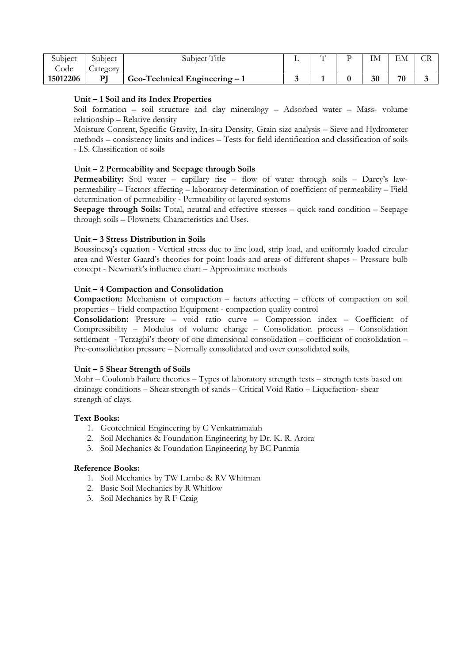| Subject  | Subject       | Title<br>Subiect               | $\sqrt{ }$ | T3 A | <b>1736</b><br>ЕM | ◡▴ |
|----------|---------------|--------------------------------|------------|------|-------------------|----|
| Sode.    | -<br>_ategory |                                |            |      |                   |    |
| 15012206 | DТ            | Geo-Technical Engineering $-1$ |            | 30   | 70                |    |

#### **Unit – 1 Soil and its Index Properties**

Soil formation – soil structure and clay mineralogy – Adsorbed water – Mass- volume relationship – Relative density

Moisture Content, Specific Gravity, In-situ Density, Grain size analysis – Sieve and Hydrometer methods – consistency limits and indices – Tests for field identification and classification of soils - I.S. Classification of soils

#### **Unit – 2 Permeability and Seepage through Soils**

**Permeability:** Soil water – capillary rise – flow of water through soils – Darcy's lawpermeability – Factors affecting – laboratory determination of coefficient of permeability – Field determination of permeability - Permeability of layered systems

**Seepage through Soils:** Total, neutral and effective stresses – quick sand condition – Seepage through soils – Flownets: Characteristics and Uses.

#### **Unit – 3 Stress Distribution in Soils**

Boussinesq's equation - Vertical stress due to line load, strip load, and uniformly loaded circular area and Wester Gaard's theories for point loads and areas of different shapes – Pressure bulb concept - Newmark's influence chart – Approximate methods

#### **Unit – 4 Compaction and Consolidation**

**Compaction:** Mechanism of compaction – factors affecting – effects of compaction on soil properties – Field compaction Equipment - compaction quality control

**Consolidation:** Pressure – void ratio curve – Compression index – Coefficient of Compressibility – Modulus of volume change – Consolidation process – Consolidation settlement - Terzaghi's theory of one dimensional consolidation – coefficient of consolidation – Pre-consolidation pressure – Normally consolidated and over consolidated soils.

#### **Unit – 5 Shear Strength of Soils**

Mohr – Coulomb Failure theories – Types of laboratory strength tests – strength tests based on drainage conditions – Shear strength of sands – Critical Void Ratio – Liquefaction- shear strength of clays.

#### **Text Books:**

- 1. Geotechnical Engineering by C Venkatramaiah
- 2. Soil Mechanics & Foundation Engineering by Dr. K. R. Arora
- 3. Soil Mechanics & Foundation Engineering by BC Punmia

- 1. Soil Mechanics by TW Lambe & RV Whitman
- 2. Basic Soil Mechanics by R Whitlow
- 3. Soil Mechanics by R F Craig